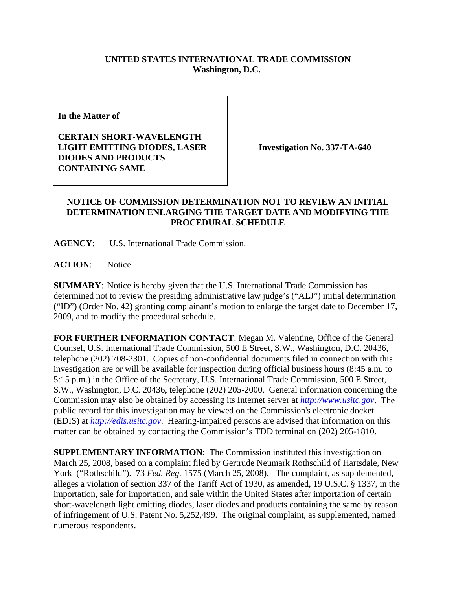## **UNITED STATES INTERNATIONAL TRADE COMMISSION Washington, D.C.**

**In the Matter of** 

**CERTAIN SHORT-WAVELENGTH LIGHT EMITTING DIODES, LASER DIODES AND PRODUCTS CONTAINING SAME**

**Investigation No. 337-TA-640**

## **NOTICE OF COMMISSION DETERMINATION NOT TO REVIEW AN INITIAL DETERMINATION ENLARGING THE TARGET DATE AND MODIFYING THE PROCEDURAL SCHEDULE**

**AGENCY**: U.S. International Trade Commission.

**ACTION**: Notice.

**SUMMARY**: Notice is hereby given that the U.S. International Trade Commission has determined not to review the presiding administrative law judge's ("ALJ") initial determination ("ID") (Order No. 42) granting complainant's motion to enlarge the target date to December 17, 2009, and to modify the procedural schedule.

**FOR FURTHER INFORMATION CONTACT**: Megan M. Valentine, Office of the General Counsel, U.S. International Trade Commission, 500 E Street, S.W., Washington, D.C. 20436, telephone (202) 708-2301. Copies of non-confidential documents filed in connection with this investigation are or will be available for inspection during official business hours (8:45 a.m. to 5:15 p.m.) in the Office of the Secretary, U.S. International Trade Commission, 500 E Street, S.W., Washington, D.C. 20436, telephone (202) 205-2000. General information concerning the Commission may also be obtained by accessing its Internet server at *http://www.usitc.gov*. The public record for this investigation may be viewed on the Commission's electronic docket (EDIS) at *http://edis.usitc.gov*. Hearing-impaired persons are advised that information on this matter can be obtained by contacting the Commission's TDD terminal on (202) 205-1810.

**SUPPLEMENTARY INFORMATION**: The Commission instituted this investigation on March 25, 2008, based on a complaint filed by Gertrude Neumark Rothschild of Hartsdale, New York ("Rothschild"). 73 *Fed. Reg.* 1575 (March 25, 2008). The complaint, as supplemented, alleges a violation of section 337 of the Tariff Act of 1930, as amended, 19 U.S.C. § 1337, in the importation, sale for importation, and sale within the United States after importation of certain short-wavelength light emitting diodes, laser diodes and products containing the same by reason of infringement of U.S. Patent No. 5,252,499. The original complaint, as supplemented, named numerous respondents.